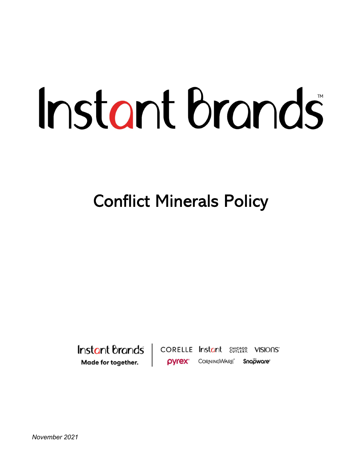# Instant brands

Conflict Minerals Policy

Instant Brands | Made for together.

**CORELLE** Instant Etherson VISIONS' **DVrex** CORNINGWARE Snapware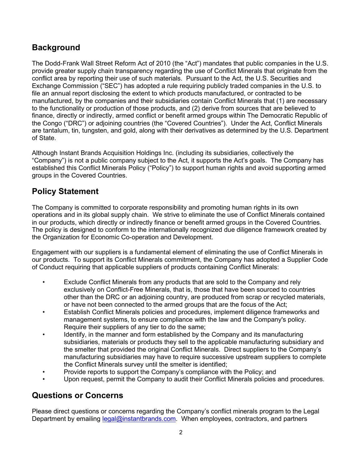## **Background**

The Dodd-Frank Wall Street Reform Act of 2010 (the "Act") mandates that public companies in the U.S. provide greater supply chain transparency regarding the use of Conflict Minerals that originate from the conflict area by reporting their use of such materials. Pursuant to the Act, the U.S. Securities and Exchange Commission ("SEC") has adopted a rule requiring publicly traded companies in the U.S. to file an annual report disclosing the extent to which products manufactured, or contracted to be manufactured, by the companies and their subsidiaries contain Conflict Minerals that (1) are necessary to the functionality or production of those products, and (2) derive from sources that are believed to finance, directly or indirectly, armed conflict or benefit armed groups within The Democratic Republic of the Congo ("DRC") or adjoining countries (the "Covered Countries"). Under the Act, Conflict Minerals are tantalum, tin, tungsten, and gold, along with their derivatives as determined by the U.S. Department of State.

Although Instant Brands Acquisition Holdings Inc. (including its subsidiaries, collectively the "Company") is not a public company subject to the Act, it supports the Act's goals. The Company has established this Conflict Minerals Policy ("Policy") to support human rights and avoid supporting armed groups in the Covered Countries.

# Policy Statement

The Company is committed to corporate responsibility and promoting human rights in its own operations and in its global supply chain. We strive to eliminate the use of Conflict Minerals contained in our products, which directly or indirectly finance or benefit armed groups in the Covered Countries. The policy is designed to conform to the internationally recognized due diligence framework created by the Organization for Economic Co-operation and Development.

Engagement with our suppliers is a fundamental element of eliminating the use of Conflict Minerals in our products. To support its Conflict Minerals commitment, the Company has adopted a Supplier Code of Conduct requiring that applicable suppliers of products containing Conflict Minerals:

- Exclude Conflict Minerals from any products that are sold to the Company and rely exclusively on Conflict-Free Minerals, that is, those that have been sourced to countries other than the DRC or an adjoining country, are produced from scrap or recycled materials, or have not been connected to the armed groups that are the focus of the Act;
- Establish Conflict Minerals policies and procedures, implement diligence frameworks and management systems, to ensure compliance with the law and the Company's policy. Require their suppliers of any tier to do the same;
- Identify, in the manner and form established by the Company and its manufacturing subsidiaries, materials or products they sell to the applicable manufacturing subsidiary and the smelter that provided the original Conflict Minerals. Direct suppliers to the Company's manufacturing subsidiaries may have to require successive upstream suppliers to complete the Conflict Minerals survey until the smelter is identified;
- Provide reports to support the Company's compliance with the Policy; and
- Upon request, permit the Company to audit their Conflict Minerals policies and procedures.

### Questions or Concerns

Please direct questions or concerns regarding the Company's conflict minerals program to the Legal Department by emailing legal@instantbrands.com. When employees, contractors, and partners